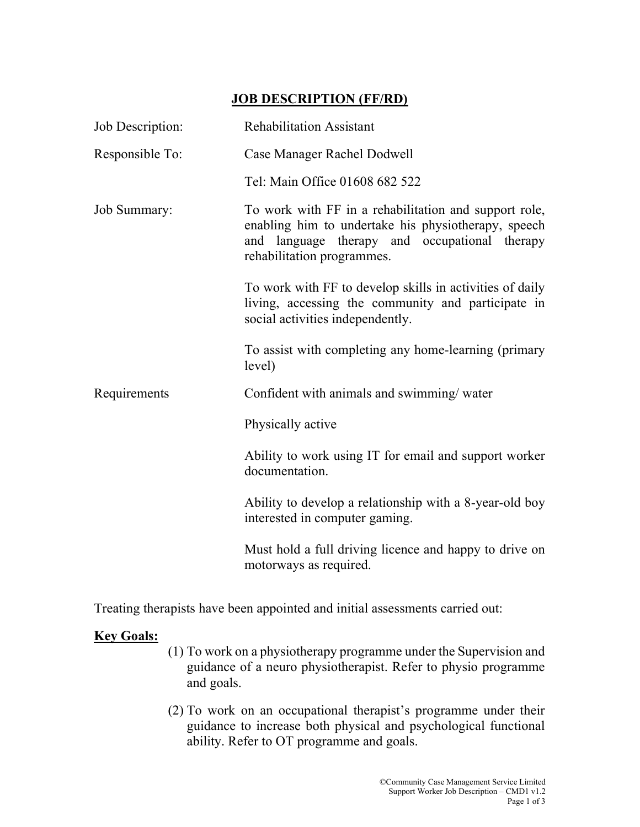## JOB DESCRIPTION (FF/RD)

| Job Description: | <b>Rehabilitation Assistant</b>                                                                                                                                                             |
|------------------|---------------------------------------------------------------------------------------------------------------------------------------------------------------------------------------------|
| Responsible To:  | Case Manager Rachel Dodwell                                                                                                                                                                 |
|                  | Tel: Main Office 01608 682 522                                                                                                                                                              |
| Job Summary:     | To work with FF in a rehabilitation and support role,<br>enabling him to undertake his physiotherapy, speech<br>and language therapy and occupational therapy<br>rehabilitation programmes. |
|                  | To work with FF to develop skills in activities of daily<br>living, accessing the community and participate in<br>social activities independently.                                          |
|                  | To assist with completing any home-learning (primary<br>level)                                                                                                                              |
| Requirements     | Confident with animals and swimming/water                                                                                                                                                   |
|                  | Physically active                                                                                                                                                                           |
|                  | Ability to work using IT for email and support worker<br>documentation.                                                                                                                     |
|                  | Ability to develop a relationship with a 8-year-old boy<br>interested in computer gaming.                                                                                                   |
|                  | Must hold a full driving licence and happy to drive on<br>motorways as required.                                                                                                            |

Treating therapists have been appointed and initial assessments carried out:

## **Key Goals:**

- (1) To work on a physiotherapy programme under the Supervision and guidance of a neuro physiotherapist. Refer to physio programme and goals.
- (2) To work on an occupational therapist's programme under their guidance to increase both physical and psychological functional ability. Refer to OT programme and goals.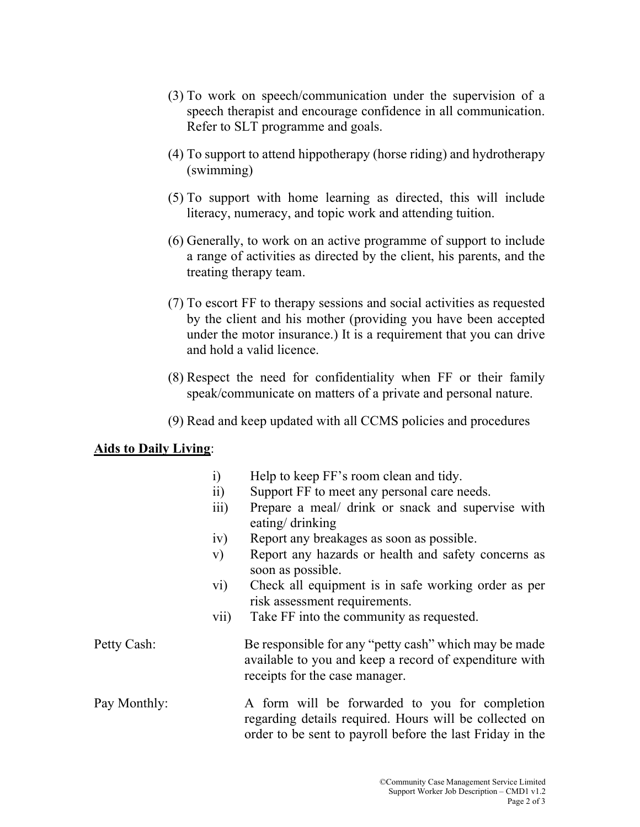- (3) To work on speech/communication under the supervision of a speech therapist and encourage confidence in all communication. Refer to SLT programme and goals.
- (4) To support to attend hippotherapy (horse riding) and hydrotherapy (swimming)
- (5) To support with home learning as directed, this will include literacy, numeracy, and topic work and attending tuition.
- (6) Generally, to work on an active programme of support to include a range of activities as directed by the client, his parents, and the treating therapy team.
- (7) To escort FF to therapy sessions and social activities as requested by the client and his mother (providing you have been accepted under the motor insurance.) It is a requirement that you can drive and hold a valid licence.
- (8) Respect the need for confidentiality when FF or their family speak/communicate on matters of a private and personal nature.
- (9) Read and keep updated with all CCMS policies and procedures

## Aids to Daily Living: Ξ

|              | i)                      | Help to keep FF's room clean and tidy.                                                                                                                                |
|--------------|-------------------------|-----------------------------------------------------------------------------------------------------------------------------------------------------------------------|
|              | $\overline{11}$         | Support FF to meet any personal care needs.                                                                                                                           |
|              | $\overline{iii}$        | Prepare a meal/ drink or snack and supervise with<br>eating/ drinking                                                                                                 |
|              | iv)                     | Report any breakages as soon as possible.                                                                                                                             |
|              | V)                      | Report any hazards or health and safety concerns as<br>soon as possible.                                                                                              |
|              | $\rm{vi})$              | Check all equipment is in safe working order as per                                                                                                                   |
|              |                         | risk assessment requirements.                                                                                                                                         |
|              | $\overline{\text{vii}}$ | Take FF into the community as requested.                                                                                                                              |
| Petty Cash:  |                         | Be responsible for any "petty cash" which may be made<br>available to you and keep a record of expenditure with<br>receipts for the case manager.                     |
| Pay Monthly: |                         | A form will be forwarded to you for completion<br>regarding details required. Hours will be collected on<br>order to be sent to payroll before the last Friday in the |